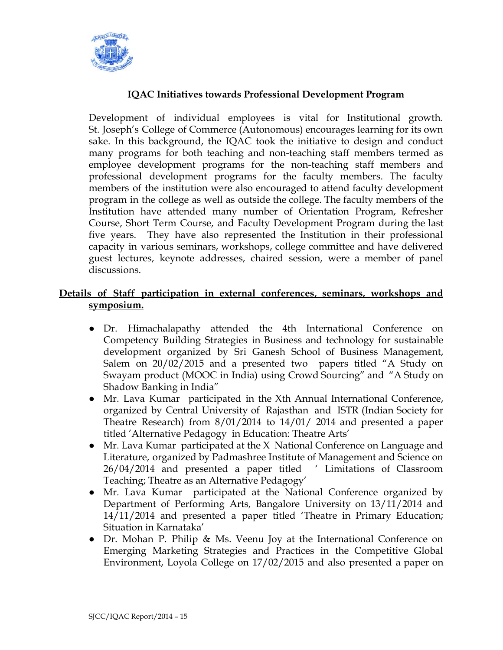

# **IQAC Initiatives towards Professional Development Program**

Development of individual employees is vital for Institutional growth. St. Joseph's College of Commerce (Autonomous) encourages learning for its own sake. In this background, the IQAC took the initiative to design and conduct many programs for both teaching and non-teaching staff members termed as employee development programs for the non-teaching staff members and professional development programs for the faculty members. The faculty members of the institution were also encouraged to attend faculty development program in the college as well as outside the college. The faculty members of the Institution have attended many number of Orientation Program, Refresher Course, Short Term Course, and Faculty Development Program during the last five years. They have also represented the Institution in their professional capacity in various seminars, workshops, college committee and have delivered guest lectures, keynote addresses, chaired session, were a member of panel discussions.

## **Details of Staff participation in external conferences, seminars, workshops and symposium.**

- Dr. Himachalapathy attended the 4th International Conference on Competency Building Strategies in Business and technology for sustainable development organized by Sri Ganesh School of Business Management, Salem on 20/02/2015 and a presented two papers titled "A Study on Swayam product (MOOC in India) using Crowd Sourcing" and "A Study on Shadow Banking in India"
- Mr. Lava Kumar participated in the Xth Annual International Conference, organized by Central University of Rajasthan and ISTR (Indian Society for Theatre Research) from 8/01/2014 to 14/01/ 2014 and presented a paper titled 'Alternative Pedagogy in Education: Theatre Arts'
- Mr. Lava Kumar participated at the X National Conference on Language and Literature, organized by Padmashree Institute of Management and Science on 26/04/2014 and presented a paper titled ' Limitations of Classroom Teaching; Theatre as an Alternative Pedagogy'
- Mr. Lava Kumar participated at the National Conference organized by Department of Performing Arts, Bangalore University on 13/11/2014 and 14/11/2014 and presented a paper titled 'Theatre in Primary Education; Situation in Karnataka'
- Dr. Mohan P. Philip & Ms. Veenu Joy at the International Conference on Emerging Marketing Strategies and Practices in the Competitive Global Environment, Loyola College on 17/02/2015 and also presented a paper on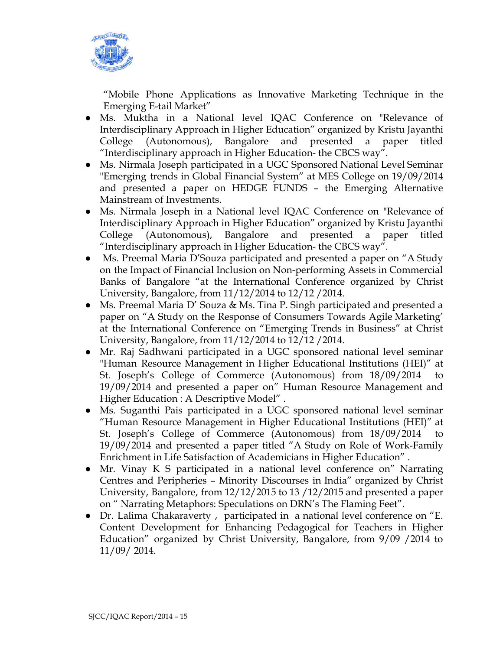

"Mobile Phone Applications as Innovative Marketing Technique in the Emerging E-tail Market"

- Ms. Muktha in a National level IQAC Conference on "Relevance of Interdisciplinary Approach in Higher Education" organized by Kristu Jayanthi College (Autonomous), Bangalore and presented a paper titled "Interdisciplinary approach in Higher Education- the CBCS way".
- Ms. Nirmala Joseph participated in a UGC Sponsored National Level Seminar "Emerging trends in Global Financial System" at MES College on 19/09/2014 and presented a paper on HEDGE FUNDS – the Emerging Alternative Mainstream of Investments.
- Ms. Nirmala Joseph in a National level IQAC Conference on "Relevance of Interdisciplinary Approach in Higher Education" organized by Kristu Jayanthi College (Autonomous), Bangalore and presented a paper titled "Interdisciplinary approach in Higher Education- the CBCS way".
- Ms. Preemal Maria D'Souza participated and presented a paper on "A Study" on the Impact of Financial Inclusion on Non-performing Assets in Commercial Banks of Bangalore "at the International Conference organized by Christ University, Bangalore, from 11/12/2014 to 12/12 /2014.
- Ms. Preemal Maria D' Souza & Ms. Tina P. Singh participated and presented a paper on "A Study on the Response of Consumers Towards Agile Marketing' at the International Conference on "Emerging Trends in Business" at Christ University, Bangalore, from 11/12/2014 to 12/12 /2014.
- Mr. Raj Sadhwani participated in a UGC sponsored national level seminar "Human Resource Management in Higher Educational Institutions (HEI)" at St. Joseph's College of Commerce (Autonomous) from 18/09/2014 to 19/09/2014 and presented a paper on" Human Resource Management and Higher Education : A Descriptive Model" .
- Ms. Suganthi Pais participated in a UGC sponsored national level seminar "Human Resource Management in Higher Educational Institutions (HEI)" at St. Joseph's College of Commerce (Autonomous) from 18/09/2014 to 19/09/2014 and presented a paper titled "A Study on Role of Work-Family Enrichment in Life Satisfaction of Academicians in Higher Education" .
- Mr. Vinay K S participated in a national level conference on" Narrating Centres and Peripheries – Minority Discourses in India" organized by Christ University, Bangalore, from 12/12/2015 to 13 /12/2015 and presented a paper on " Narrating Metaphors: Speculations on DRN's The Flaming Feet".
- Dr. Lalima Chakaraverty , participated in a national level conference on "E. Content Development for Enhancing Pedagogical for Teachers in Higher Education" organized by Christ University, Bangalore, from 9/09 /2014 to 11/09/ 2014.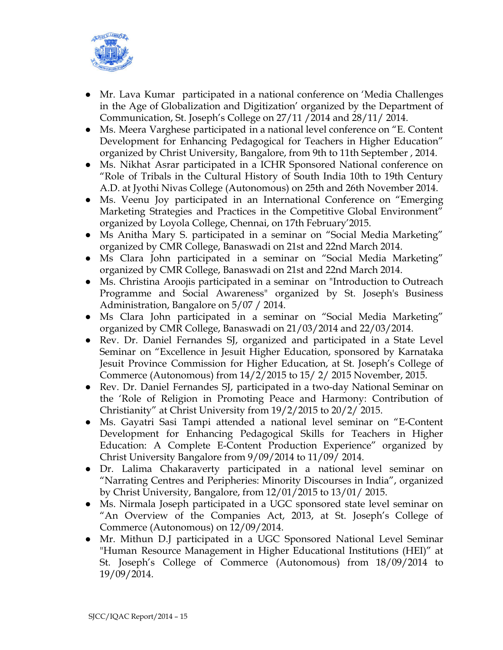

- Mr. Lava Kumar participated in a national conference on 'Media Challenges in the Age of Globalization and Digitization' organized by the Department of Communication, St. Joseph's College on 27/11 /2014 and 28/11/ 2014.
- Ms. Meera Varghese participated in a national level conference on "E. Content Development for Enhancing Pedagogical for Teachers in Higher Education" organized by Christ University, Bangalore, from 9th to 11th September , 2014.
- Ms. Nikhat Asrar participated in a ICHR Sponsored National conference on "Role of Tribals in the Cultural History of South India 10th to 19th Century A.D. at Jyothi Nivas College (Autonomous) on 25th and 26th November 2014.
- Ms. Veenu Joy participated in an International Conference on "Emerging Marketing Strategies and Practices in the Competitive Global Environment" organized by Loyola College, Chennai, on 17th February'2015.
- Ms Anitha Mary S. participated in a seminar on "Social Media Marketing" organized by CMR College, Banaswadi on 21st and 22nd March 2014.
- Ms Clara John participated in a seminar on "Social Media Marketing" organized by CMR College, Banaswadi on 21st and 22nd March 2014.
- Ms. Christina Aroojis participated in a seminar on "Introduction to Outreach Programme and Social Awareness" organized by St. Joseph's Business Administration, Bangalore on 5/07 / 2014.
- Ms Clara John participated in a seminar on "Social Media Marketing" organized by CMR College, Banaswadi on 21/03/2014 and 22/03/2014.
- Rev. Dr. Daniel Fernandes SJ, organized and participated in a State Level Seminar on "Excellence in Jesuit Higher Education, sponsored by Karnataka Jesuit Province Commission for Higher Education, at St. Joseph's College of Commerce (Autonomous) from 14/2/2015 to 15/ 2/ 2015 November, 2015.
- Rev. Dr. Daniel Fernandes SJ, participated in a two-day National Seminar on the 'Role of Religion in Promoting Peace and Harmony: Contribution of Christianity" at Christ University from 19/2/2015 to 20/2/ 2015.
- Ms. Gayatri Sasi Tampi attended a national level seminar on "E-Content Development for Enhancing Pedagogical Skills for Teachers in Higher Education: A Complete E-Content Production Experience" organized by Christ University Bangalore from 9/09/2014 to 11/09/ 2014.
- Dr. Lalima Chakaraverty participated in a national level seminar on "Narrating Centres and Peripheries: Minority Discourses in India", organized by Christ University, Bangalore, from 12/01/2015 to 13/01/ 2015.
- Ms. Nirmala Joseph participated in a UGC sponsored state level seminar on "An Overview of the Companies Act, 2013, at St. Joseph's College of Commerce (Autonomous) on 12/09/2014.
- Mr. Mithun D.J participated in a UGC Sponsored National Level Seminar "Human Resource Management in Higher Educational Institutions (HEI)" at St. Joseph's College of Commerce (Autonomous) from 18/09/2014 to 19/09/2014.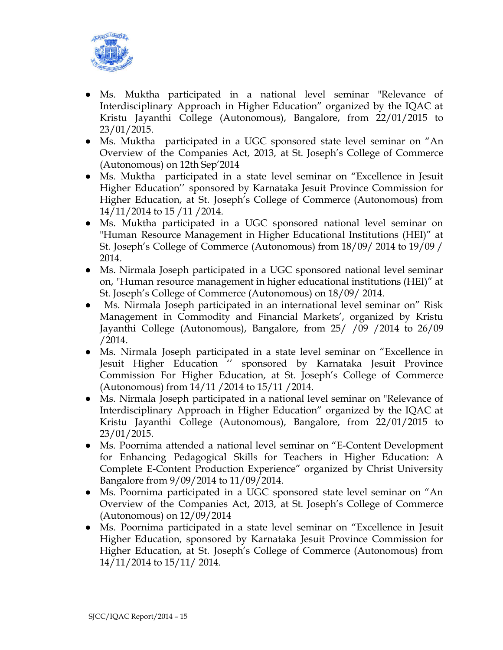

- Ms. Muktha participated in a national level seminar "Relevance of Interdisciplinary Approach in Higher Education" organized by the IQAC at Kristu Jayanthi College (Autonomous), Bangalore, from 22/01/2015 to 23/01/2015.
- Ms. Muktha participated in a UGC sponsored state level seminar on "An Overview of the Companies Act, 2013, at St. Joseph's College of Commerce (Autonomous) on 12th Sep'2014
- Ms. Muktha participated in a state level seminar on "Excellence in Jesuit Higher Education'' sponsored by Karnataka Jesuit Province Commission for Higher Education, at St. Joseph's College of Commerce (Autonomous) from 14/11/2014 to 15 /11 /2014.
- Ms. Muktha participated in a UGC sponsored national level seminar on "Human Resource Management in Higher Educational Institutions (HEI)" at St. Joseph's College of Commerce (Autonomous) from 18/09/ 2014 to 19/09 / 2014.
- Ms. Nirmala Joseph participated in a UGC sponsored national level seminar on, "Human resource management in higher educational institutions (HEI)" at St. Joseph's College of Commerce (Autonomous) on 18/09/ 2014.
- Ms. Nirmala Joseph participated in an international level seminar on" Risk Management in Commodity and Financial Markets', organized by Kristu Jayanthi College (Autonomous), Bangalore, from 25/ /09 /2014 to 26/09 /2014.
- Ms. Nirmala Joseph participated in a state level seminar on "Excellence in Jesuit Higher Education '' sponsored by Karnataka Jesuit Province Commission For Higher Education, at St. Joseph's College of Commerce (Autonomous) from 14/11 /2014 to 15/11 /2014.
- Ms. Nirmala Joseph participated in a national level seminar on "Relevance of Interdisciplinary Approach in Higher Education" organized by the IQAC at Kristu Jayanthi College (Autonomous), Bangalore, from 22/01/2015 to 23/01/2015.
- Ms. Poornima attended a national level seminar on "E-Content Development for Enhancing Pedagogical Skills for Teachers in Higher Education: A Complete E-Content Production Experience" organized by Christ University Bangalore from 9/09/2014 to 11/09/2014.
- Ms. Poornima participated in a UGC sponsored state level seminar on "An Overview of the Companies Act, 2013, at St. Joseph's College of Commerce (Autonomous) on 12/09/2014
- Ms. Poornima participated in a state level seminar on "Excellence in Jesuit Higher Education, sponsored by Karnataka Jesuit Province Commission for Higher Education, at St. Joseph's College of Commerce (Autonomous) from 14/11/2014 to 15/11/ 2014.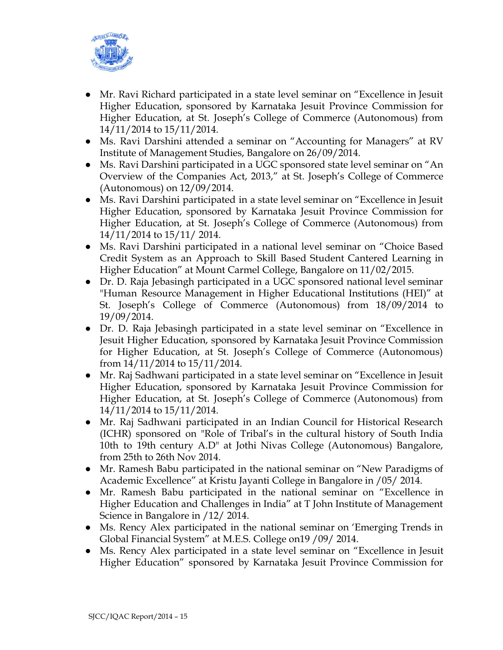

- Mr. Ravi Richard participated in a state level seminar on "Excellence in Jesuit Higher Education, sponsored by Karnataka Jesuit Province Commission for Higher Education, at St. Joseph's College of Commerce (Autonomous) from 14/11/2014 to 15/11/2014.
- Ms. Ravi Darshini attended a seminar on "Accounting for Managers" at RV Institute of Management Studies, Bangalore on 26/09/2014.
- Ms. Ravi Darshini participated in a UGC sponsored state level seminar on "An Overview of the Companies Act, 2013," at St. Joseph's College of Commerce (Autonomous) on 12/09/2014.
- Ms. Ravi Darshini participated in a state level seminar on "Excellence in Jesuit Higher Education, sponsored by Karnataka Jesuit Province Commission for Higher Education, at St. Joseph's College of Commerce (Autonomous) from 14/11/2014 to 15/11/ 2014.
- Ms. Ravi Darshini participated in a national level seminar on "Choice Based Credit System as an Approach to Skill Based Student Cantered Learning in Higher Education" at Mount Carmel College, Bangalore on 11/02/2015.
- Dr. D. Raja Jebasingh participated in a UGC sponsored national level seminar "Human Resource Management in Higher Educational Institutions (HEI)" at St. Joseph's College of Commerce (Autonomous) from 18/09/2014 to 19/09/2014.
- Dr. D. Raja Jebasingh participated in a state level seminar on "Excellence in Jesuit Higher Education, sponsored by Karnataka Jesuit Province Commission for Higher Education, at St. Joseph's College of Commerce (Autonomous) from 14/11/2014 to 15/11/2014.
- Mr. Raj Sadhwani participated in a state level seminar on "Excellence in Jesuit Higher Education, sponsored by Karnataka Jesuit Province Commission for Higher Education, at St. Joseph's College of Commerce (Autonomous) from 14/11/2014 to 15/11/2014.
- Mr. Raj Sadhwani participated in an Indian Council for Historical Research (ICHR) sponsored on "Role of Tribal's in the cultural history of South India 10th to 19th century A.D" at Jothi Nivas College (Autonomous) Bangalore, from 25th to 26th Nov 2014.
- Mr. Ramesh Babu participated in the national seminar on "New Paradigms of Academic Excellence" at Kristu Jayanti College in Bangalore in /05/ 2014.
- Mr. Ramesh Babu participated in the national seminar on "Excellence in Higher Education and Challenges in India" at T John Institute of Management Science in Bangalore in /12/ 2014.
- Ms. Rency Alex participated in the national seminar on 'Emerging Trends in Global Financial System" at M.E.S. College on19 /09/ 2014.
- Ms. Rency Alex participated in a state level seminar on "Excellence in Jesuit" Higher Education" sponsored by Karnataka Jesuit Province Commission for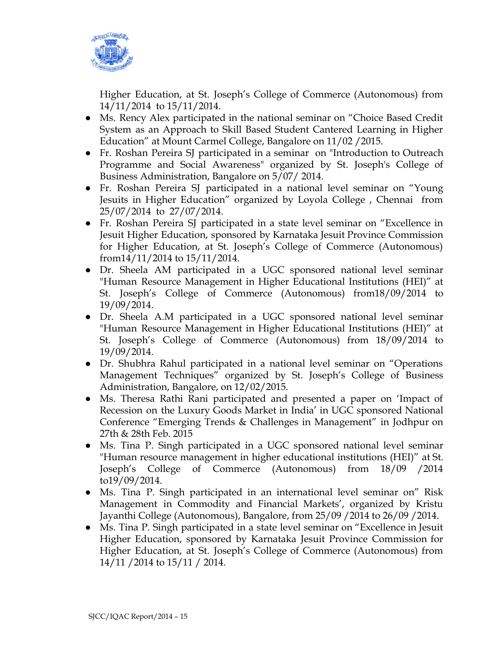

Higher Education, at St. Joseph's College of Commerce (Autonomous) from 14/11/2014 to 15/11/2014.

- Ms. Rency Alex participated in the national seminar on "Choice Based Credit" System as an Approach to Skill Based Student Cantered Learning in Higher Education" at Mount Carmel College, Bangalore on 11/02 /2015.
- Fr. Roshan Pereira SJ participated in a seminar on "Introduction to Outreach Programme and Social Awareness" organized by St. Joseph's College of Business Administration, Bangalore on 5/07/ 2014.
- Fr. Roshan Pereira SJ participated in a national level seminar on "Young Jesuits in Higher Education" organized by Loyola College , Chennai from 25/07/2014 to 27/07/2014.
- Fr. Roshan Pereira SJ participated in a state level seminar on "Excellence in Jesuit Higher Education, sponsored by Karnataka Jesuit Province Commission for Higher Education, at St. Joseph's College of Commerce (Autonomous) from14/11/2014 to 15/11/2014.
- Dr. Sheela AM participated in a UGC sponsored national level seminar "Human Resource Management in Higher Educational Institutions (HEI)" at St. Joseph's College of Commerce (Autonomous) from18/09/2014 to 19/09/2014.
- Dr. Sheela A.M participated in a UGC sponsored national level seminar "Human Resource Management in Higher Educational Institutions (HEI)" at St. Joseph's College of Commerce (Autonomous) from 18/09/2014 to 19/09/2014.
- Dr. Shubhra Rahul participated in a national level seminar on "Operations" Management Techniques" organized by St. Joseph's College of Business Administration, Bangalore, on 12/02/2015.
- Ms. Theresa Rathi Rani participated and presented a paper on 'Impact of Recession on the Luxury Goods Market in India' in UGC sponsored National Conference "Emerging Trends & Challenges in Management" in Jodhpur on 27th & 28th Feb. 2015
- Ms. Tina P. Singh participated in a UGC sponsored national level seminar "Human resource management in higher educational institutions (HEI)" at St. Joseph's College of Commerce (Autonomous) from 18/09 /2014 to19/09/2014.
- Ms. Tina P. Singh participated in an international level seminar on" Risk Management in Commodity and Financial Markets', organized by Kristu Jayanthi College (Autonomous), Bangalore, from 25/09 /2014 to 26/09 /2014.
- Ms. Tina P. Singh participated in a state level seminar on "Excellence in Jesuit Higher Education, sponsored by Karnataka Jesuit Province Commission for Higher Education, at St. Joseph's College of Commerce (Autonomous) from 14/11 /2014 to 15/11 / 2014.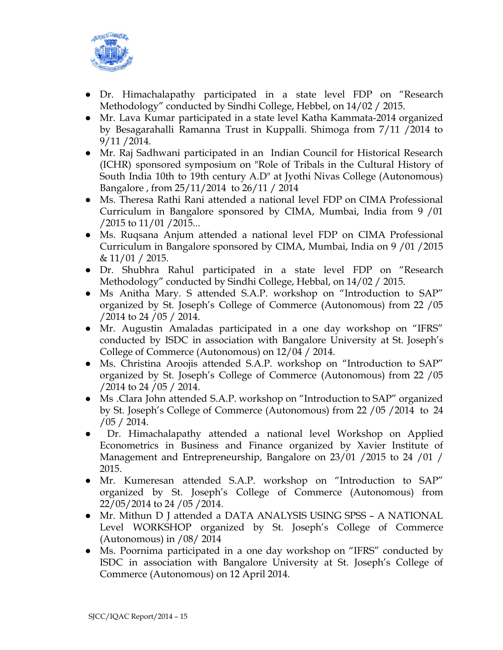

- Dr. Himachalapathy participated in a state level FDP on "Research Methodology" conducted by Sindhi College, Hebbel, on 14/02 / 2015.
- Mr. Lava Kumar participated in a state level Katha Kammata-2014 organized by Besagarahalli Ramanna Trust in Kuppalli. Shimoga from 7/11 /2014 to 9/11 /2014.
- Mr. Raj Sadhwani participated in an Indian Council for Historical Research (ICHR) sponsored symposium on "Role of Tribals in the Cultural History of South India 10th to 19th century A.D" at Jyothi Nivas College (Autonomous) Bangalore , from 25/11/2014 to 26/11 / 2014
- Ms. Theresa Rathi Rani attended a national level FDP on CIMA Professional Curriculum in Bangalore sponsored by CIMA, Mumbai, India from 9 /01 /2015 to 11/01 /2015...
- Ms. Rugsana Anjum attended a national level FDP on CIMA Professional Curriculum in Bangalore sponsored by CIMA, Mumbai, India on 9 /01 /2015  $\& 11/01 / 2015.$
- Dr. Shubhra Rahul participated in a state level FDP on "Research Methodology" conducted by Sindhi College, Hebbal, on 14/02 / 2015.
- Ms Anitha Mary. S attended S.A.P. workshop on "Introduction to SAP" organized by St. Joseph's College of Commerce (Autonomous) from 22 /05 /2014 to 24 /05 / 2014.
- Mr. Augustin Amaladas participated in a one day workshop on "IFRS" conducted by ISDC in association with Bangalore University at St. Joseph's College of Commerce (Autonomous) on 12/04 / 2014.
- Ms. Christina Aroojis attended S.A.P. workshop on "Introduction to SAP" organized by St. Joseph's College of Commerce (Autonomous) from 22 /05 /2014 to 24 /05 / 2014.
- Ms .Clara John attended S.A.P. workshop on "Introduction to SAP" organized by St. Joseph's College of Commerce (Autonomous) from 22 /05 /2014 to 24 /05 / 2014.
- Dr. Himachalapathy attended a national level Workshop on Applied Econometrics in Business and Finance organized by Xavier Institute of Management and Entrepreneurship, Bangalore on 23/01 /2015 to 24 /01 / 2015.
- Mr. Kumeresan attended S.A.P. workshop on "Introduction to SAP" organized by St. Joseph's College of Commerce (Autonomous) from 22/05/2014 to 24 /05 /2014.
- Mr. Mithun D J attended a DATA ANALYSIS USING SPSS A NATIONAL Level WORKSHOP organized by St. Joseph's College of Commerce (Autonomous) in /08/ 2014
- Ms. Poornima participated in a one day workshop on "IFRS" conducted by ISDC in association with Bangalore University at St. Joseph's College of Commerce (Autonomous) on 12 April 2014.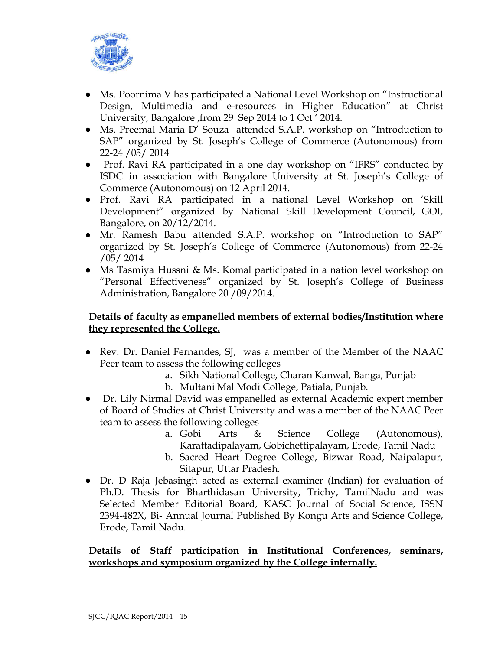

- Ms. Poornima V has participated a National Level Workshop on "Instructional Design, Multimedia and e-resources in Higher Education" at Christ University, Bangalore ,from 29 Sep 2014 to 1 Oct ' 2014.
- Ms. Preemal Maria D' Souza attended S.A.P. workshop on "Introduction to SAP" organized by St. Joseph's College of Commerce (Autonomous) from 22-24 /05/ 2014
- Prof. Ravi RA participated in a one day workshop on "IFRS" conducted by ISDC in association with Bangalore University at St. Joseph's College of Commerce (Autonomous) on 12 April 2014.
- Prof. Ravi RA participated in a national Level Workshop on 'Skill Development" organized by National Skill Development Council, GOI, Bangalore, on 20/12/2014.
- Mr. Ramesh Babu attended S.A.P. workshop on "Introduction to SAP" organized by St. Joseph's College of Commerce (Autonomous) from 22-24 /05/ 2014
- Ms Tasmiya Hussni & Ms. Komal participated in a nation level workshop on "Personal Effectiveness" organized by St. Joseph's College of Business Administration, Bangalore 20 /09/2014.

### **Details of faculty as empanelled members of external bodies/Institution where they represented the College.**

- Rev. Dr. Daniel Fernandes, SJ, was a member of the Member of the NAAC Peer team to assess the following colleges
	- a. Sikh National College, Charan Kanwal, Banga, Punjab
	- b. Multani Mal Modi College, Patiala, Punjab.
- Dr. Lily Nirmal David was empanelled as external Academic expert member of Board of Studies at Christ University and was a member of the NAAC Peer team to assess the following colleges
	- a. Gobi Arts & Science College (Autonomous), Karattadipalayam, Gobichettipalayam, Erode, Tamil Nadu
	- b. Sacred Heart Degree College, Bizwar Road, Naipalapur, Sitapur, Uttar Pradesh.
- Dr. D Raja Jebasingh acted as external examiner (Indian) for evaluation of Ph.D. Thesis for Bharthidasan University, Trichy, TamilNadu and was Selected Member Editorial Board, KASC Journal of Social Science, ISSN 2394-482X, Bi- Annual Journal Published By Kongu Arts and Science College, Erode, Tamil Nadu.

#### **Details of Staff participation in Institutional Conferences, seminars, workshops and symposium organized by the College internally.**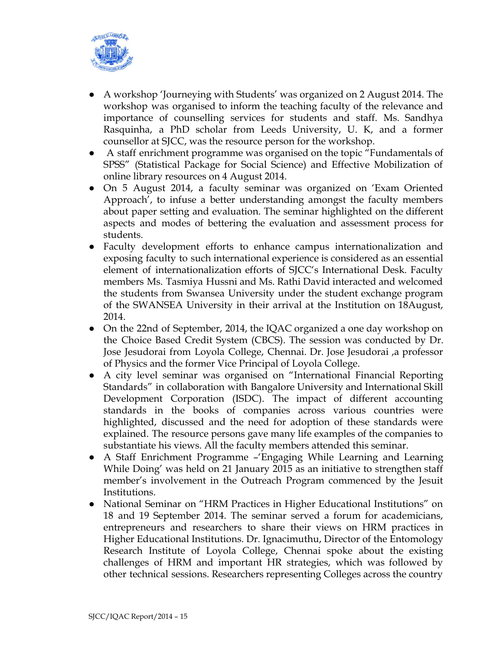

- A workshop 'Journeying with Students' was organized on 2 August 2014. The workshop was organised to inform the teaching faculty of the relevance and importance of counselling services for students and staff. Ms. Sandhya Rasquinha, a PhD scholar from Leeds University, U. K, and a former counsellor at SJCC, was the resource person for the workshop.
- A staff enrichment programme was organised on the topic "Fundamentals of SPSS" (Statistical Package for Social Science) and Effective Mobilization of online library resources on 4 August 2014.
- On 5 August 2014, a faculty seminar was organized on 'Exam Oriented Approach', to infuse a better understanding amongst the faculty members about paper setting and evaluation. The seminar highlighted on the different aspects and modes of bettering the evaluation and assessment process for students.
- Faculty development efforts to enhance campus internationalization and exposing faculty to such international experience is considered as an essential element of internationalization efforts of SJCC's International Desk. Faculty members Ms. Tasmiya Hussni and Ms. Rathi David interacted and welcomed the students from Swansea University under the student exchange program of the SWANSEA University in their arrival at the Institution on 18August, 2014.
- On the 22nd of September, 2014, the IQAC organized a one day workshop on the Choice Based Credit System (CBCS). The session was conducted by Dr. Jose Jesudorai from Loyola College, Chennai. Dr. Jose Jesudorai ,a professor of Physics and the former Vice Principal of Loyola College.
- A city level seminar was organised on "International Financial Reporting Standards" in collaboration with Bangalore University and International Skill Development Corporation (ISDC). The impact of different accounting standards in the books of companies across various countries were highlighted, discussed and the need for adoption of these standards were explained. The resource persons gave many life examples of the companies to substantiate his views. All the faculty members attended this seminar.
- A Staff Enrichment Programme –'Engaging While Learning and Learning While Doing' was held on 21 January 2015 as an initiative to strengthen staff member's involvement in the Outreach Program commenced by the Jesuit Institutions.
- National Seminar on "HRM Practices in Higher Educational Institutions" on 18 and 19 September 2014. The seminar served a forum for academicians, entrepreneurs and researchers to share their views on HRM practices in Higher Educational Institutions. Dr. Ignacimuthu, Director of the Entomology Research Institute of Loyola College, Chennai spoke about the existing challenges of HRM and important HR strategies, which was followed by other technical sessions. Researchers representing Colleges across the country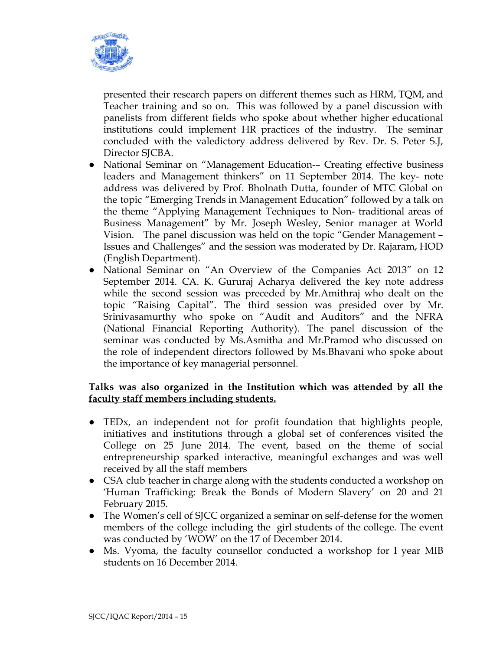

presented their research papers on different themes such as HRM, TQM, and Teacher training and so on. This was followed by a panel discussion with panelists from different fields who spoke about whether higher educational institutions could implement HR practices of the industry. The seminar concluded with the valedictory address delivered by Rev. Dr. S. Peter S.J, Director SJCBA.

- National Seminar on "Management Education-- Creating effective business leaders and Management thinkers" on 11 September 2014. The key- note address was delivered by Prof. Bholnath Dutta, founder of MTC Global on the topic "Emerging Trends in Management Education" followed by a talk on the theme "Applying Management Techniques to Non- traditional areas of Business Management" by Mr. Joseph Wesley, Senior manager at World Vision. The panel discussion was held on the topic "Gender Management – Issues and Challenges" and the session was moderated by Dr. Rajaram, HOD (English Department).
- National Seminar on "An Overview of the Companies Act 2013" on 12 September 2014. CA. K. Gururaj Acharya delivered the key note address while the second session was preceded by Mr.Amithraj who dealt on the topic "Raising Capital". The third session was presided over by Mr. Srinivasamurthy who spoke on "Audit and Auditors" and the NFRA (National Financial Reporting Authority). The panel discussion of the seminar was conducted by Ms.Asmitha and Mr.Pramod who discussed on the role of independent directors followed by Ms.Bhavani who spoke about the importance of key managerial personnel.

#### **Talks was also organized in the Institution which was attended by all the faculty staff members including students.**

- TEDx, an independent not for profit foundation that highlights people, initiatives and institutions through a global set of conferences visited the College on 25 June 2014. The event, based on the theme of social entrepreneurship sparked interactive, meaningful exchanges and was well received by all the staff members
- CSA club teacher in charge along with the students conducted a workshop on 'Human Trafficking: Break the Bonds of Modern Slavery' on 20 and 21 February 2015.
- The Women's cell of SJCC organized a seminar on self-defense for the women members of the college including the girl students of the college. The event was conducted by 'WOW' on the 17 of December 2014.
- Ms. Vyoma, the faculty counsellor conducted a workshop for I year MIB students on 16 December 2014.